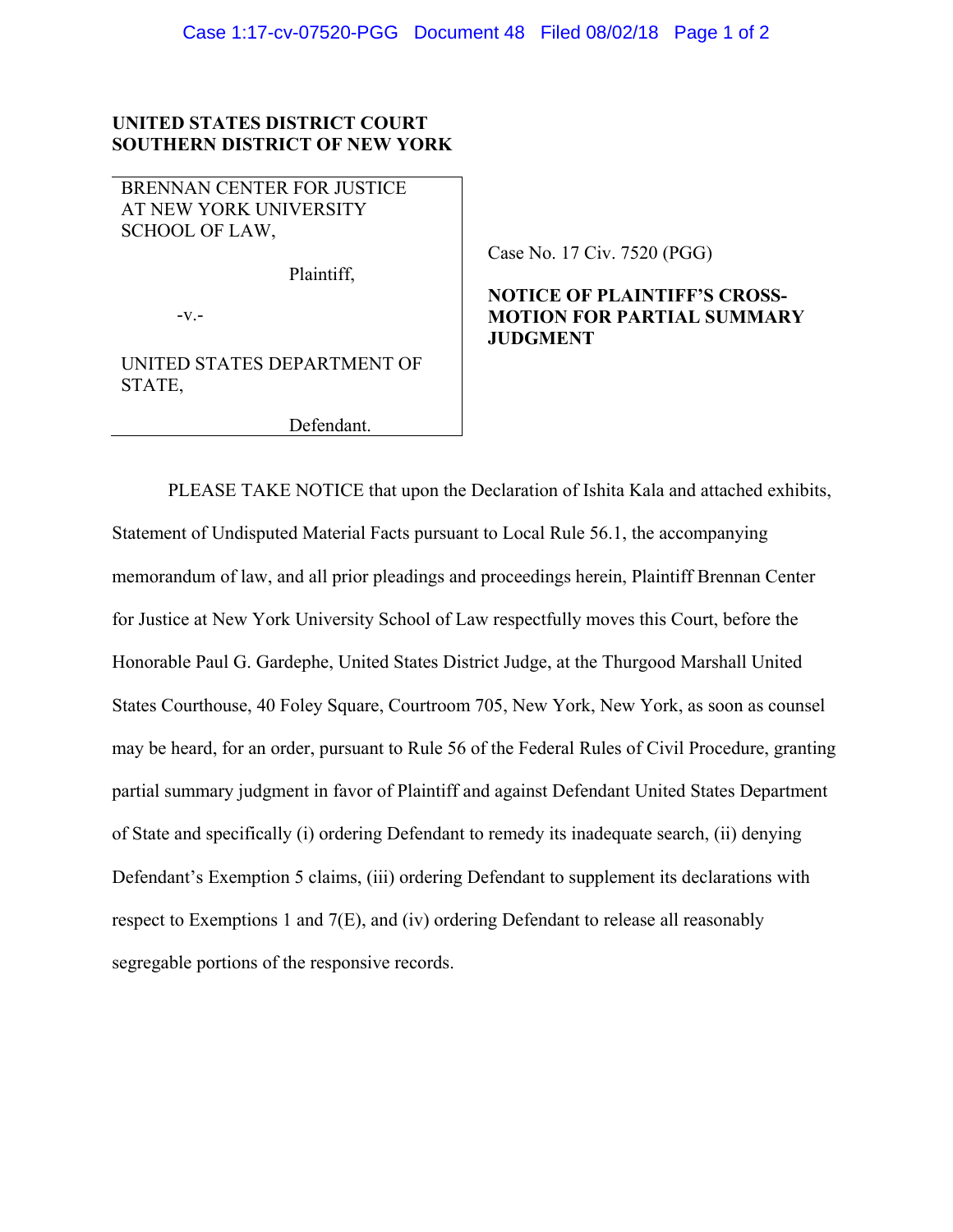## **UNITED STATES DISTRICT COURT SOUTHERN DISTRICT OF NEW YORK**

BRENNAN CENTER FOR JUSTICE AT NEW YORK UNIVERSITY SCHOOL OF LAW,

Plaintiff,

-v.-

UNITED STATES DEPARTMENT OF STATE,

Defendant.

## Case No. 17 Civ. 7520 (PGG)

## **NOTICE OF PLAINTIFF'S CROSS-MOTION FOR PARTIAL SUMMARY JUDGMENT**

PLEASE TAKE NOTICE that upon the Declaration of Ishita Kala and attached exhibits, Statement of Undisputed Material Facts pursuant to Local Rule 56.1, the accompanying memorandum of law, and all prior pleadings and proceedings herein, Plaintiff Brennan Center for Justice at New York University School of Law respectfully moves this Court, before the Honorable Paul G. Gardephe, United States District Judge, at the Thurgood Marshall United States Courthouse, 40 Foley Square, Courtroom 705, New York, New York, as soon as counsel may be heard, for an order, pursuant to Rule 56 of the Federal Rules of Civil Procedure, granting partial summary judgment in favor of Plaintiff and against Defendant United States Department of State and specifically (i) ordering Defendant to remedy its inadequate search, (ii) denying Defendant's Exemption 5 claims, (iii) ordering Defendant to supplement its declarations with respect to Exemptions 1 and 7(E), and (iv) ordering Defendant to release all reasonably segregable portions of the responsive records.